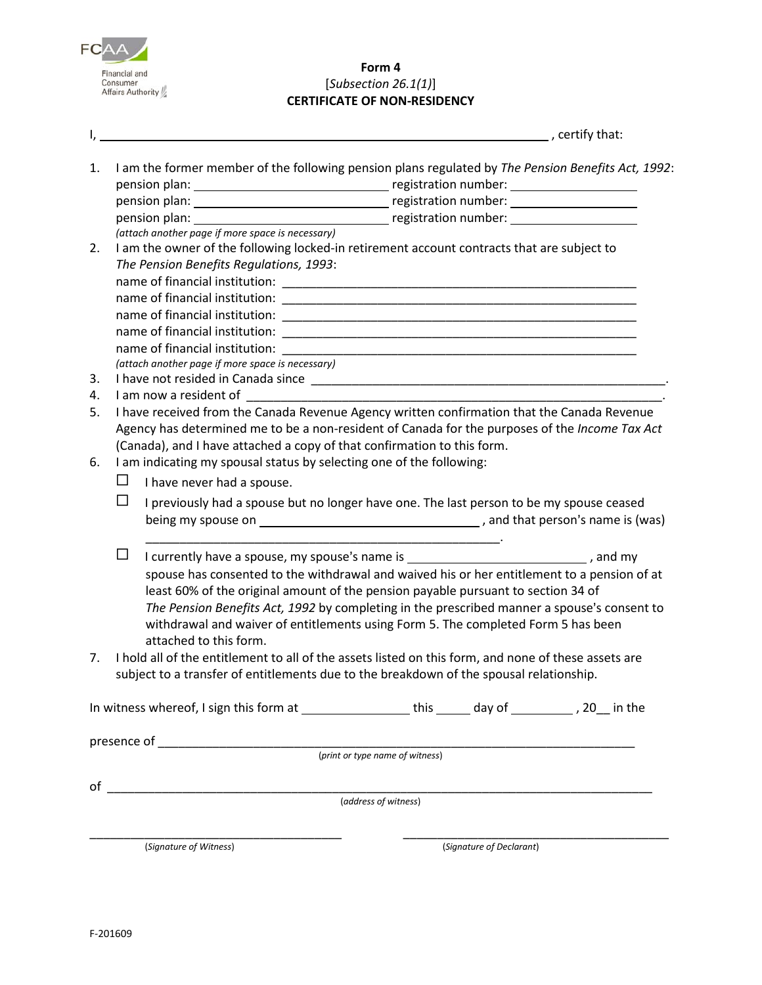

**Form 4** [*Subsection 26.1(1)*] **CERTIFICATE OF NON-RESIDENCY**

|    |                                                                                               | l, and the contract of the contract of the contract of the contract of the contract of the contract of the contract of | $\sim$ and $\sim$ , certify that:                                                                    |  |
|----|-----------------------------------------------------------------------------------------------|------------------------------------------------------------------------------------------------------------------------|------------------------------------------------------------------------------------------------------|--|
| 1. |                                                                                               |                                                                                                                        | I am the former member of the following pension plans regulated by The Pension Benefits Act, 1992:   |  |
|    |                                                                                               |                                                                                                                        |                                                                                                      |  |
|    |                                                                                               |                                                                                                                        |                                                                                                      |  |
|    |                                                                                               |                                                                                                                        |                                                                                                      |  |
|    |                                                                                               | (attach another page if more space is necessary)                                                                       |                                                                                                      |  |
| 2. |                                                                                               | I am the owner of the following locked-in retirement account contracts that are subject to                             |                                                                                                      |  |
|    |                                                                                               | The Pension Benefits Regulations, 1993:                                                                                |                                                                                                      |  |
|    |                                                                                               |                                                                                                                        |                                                                                                      |  |
|    |                                                                                               |                                                                                                                        |                                                                                                      |  |
|    |                                                                                               |                                                                                                                        |                                                                                                      |  |
|    |                                                                                               |                                                                                                                        |                                                                                                      |  |
|    |                                                                                               |                                                                                                                        |                                                                                                      |  |
|    |                                                                                               | (attach another page if more space is necessary)                                                                       |                                                                                                      |  |
| 3. |                                                                                               |                                                                                                                        |                                                                                                      |  |
| 4. |                                                                                               |                                                                                                                        |                                                                                                      |  |
| 5. | I have received from the Canada Revenue Agency written confirmation that the Canada Revenue   |                                                                                                                        |                                                                                                      |  |
|    |                                                                                               | Agency has determined me to be a non-resident of Canada for the purposes of the Income Tax Act                         |                                                                                                      |  |
|    | (Canada), and I have attached a copy of that confirmation to this form.                       |                                                                                                                        |                                                                                                      |  |
| 6. | I am indicating my spousal status by selecting one of the following:                          |                                                                                                                        |                                                                                                      |  |
|    | ப                                                                                             | I have never had a spouse.                                                                                             |                                                                                                      |  |
|    | ப<br>I previously had a spouse but no longer have one. The last person to be my spouse ceased |                                                                                                                        |                                                                                                      |  |
|    |                                                                                               |                                                                                                                        |                                                                                                      |  |
|    |                                                                                               |                                                                                                                        |                                                                                                      |  |
|    | $\Box$                                                                                        |                                                                                                                        | I currently have a spouse, my spouse's name is ______________________________, and my                |  |
|    | spouse has consented to the withdrawal and waived his or her entitlement to a pension of at   |                                                                                                                        |                                                                                                      |  |
|    |                                                                                               | least 60% of the original amount of the pension payable pursuant to section 34 of                                      |                                                                                                      |  |
|    | The Pension Benefits Act, 1992 by completing in the prescribed manner a spouse's consent to   |                                                                                                                        |                                                                                                      |  |
|    |                                                                                               | withdrawal and waiver of entitlements using Form 5. The completed Form 5 has been                                      |                                                                                                      |  |
|    |                                                                                               | attached to this form.                                                                                                 |                                                                                                      |  |
| 7. |                                                                                               |                                                                                                                        | I hold all of the entitlement to all of the assets listed on this form, and none of these assets are |  |
|    |                                                                                               | subject to a transfer of entitlements due to the breakdown of the spousal relationship.                                |                                                                                                      |  |
|    |                                                                                               |                                                                                                                        |                                                                                                      |  |
|    |                                                                                               |                                                                                                                        | In witness whereof, I sign this form at __________________this ______ day of __________, 20__ in the |  |
|    |                                                                                               |                                                                                                                        |                                                                                                      |  |
|    |                                                                                               |                                                                                                                        |                                                                                                      |  |
|    |                                                                                               |                                                                                                                        |                                                                                                      |  |
|    |                                                                                               |                                                                                                                        | (address of witness)                                                                                 |  |
|    |                                                                                               |                                                                                                                        |                                                                                                      |  |
|    |                                                                                               |                                                                                                                        |                                                                                                      |  |

(*Signature of Witness*) (*Signature of Declarant*)